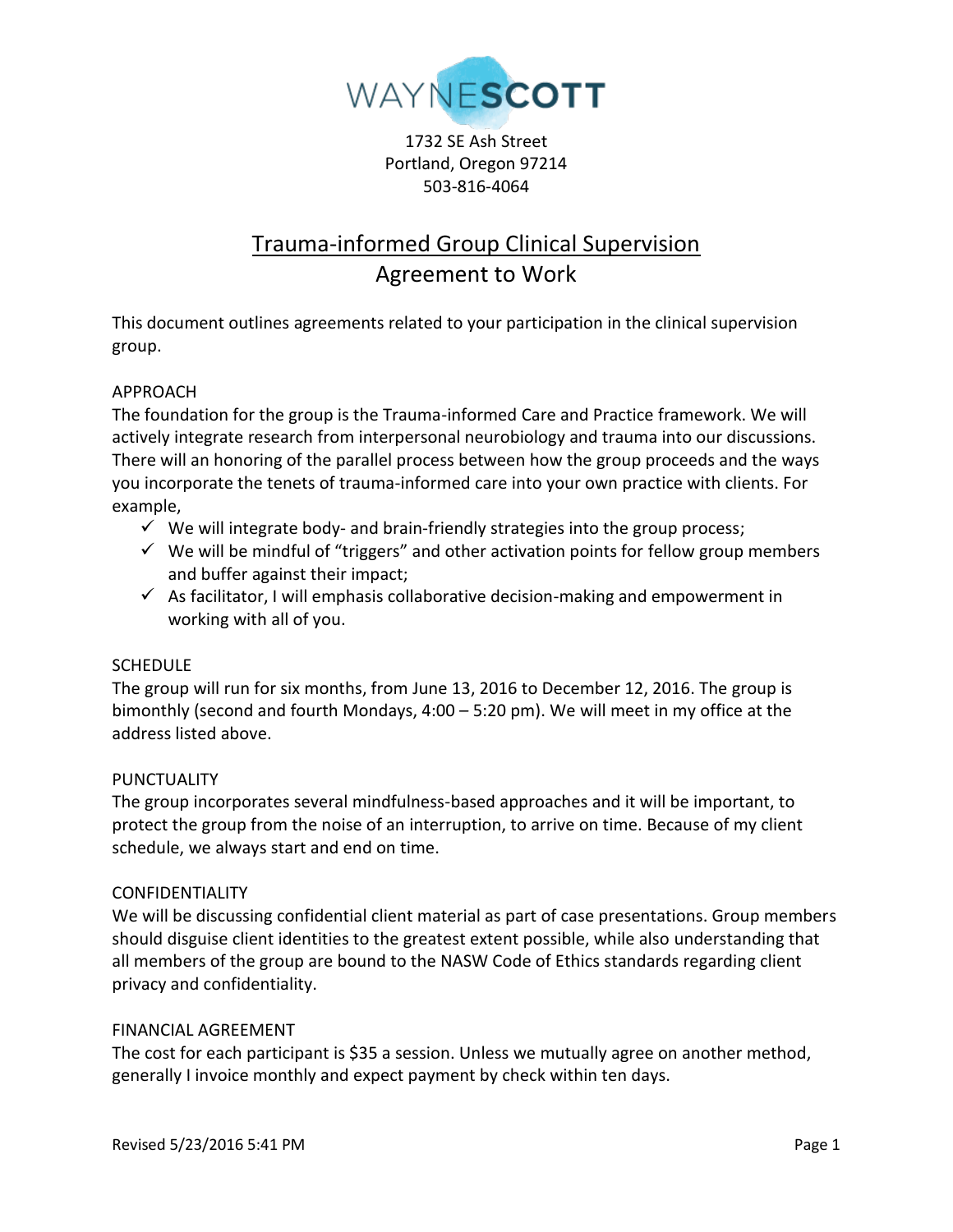

1732 SE Ash Street Portland, Oregon 97214 503-816-4064

# Trauma-informed Group Clinical Supervision Agreement to Work

This document outlines agreements related to your participation in the clinical supervision group.

# APPROACH

The foundation for the group is the Trauma-informed Care and Practice framework. We will actively integrate research from interpersonal neurobiology and trauma into our discussions. There will an honoring of the parallel process between how the group proceeds and the ways you incorporate the tenets of trauma-informed care into your own practice with clients. For example,

- $\checkmark$  We will integrate body- and brain-friendly strategies into the group process;
- $\checkmark$  We will be mindful of "triggers" and other activation points for fellow group members and buffer against their impact;
- $\checkmark$  As facilitator, I will emphasis collaborative decision-making and empowerment in working with all of you.

## **SCHEDULE**

The group will run for six months, from June 13, 2016 to December 12, 2016. The group is bimonthly (second and fourth Mondays, 4:00 – 5:20 pm). We will meet in my office at the address listed above.

## PUNCTUALITY

The group incorporates several mindfulness-based approaches and it will be important, to protect the group from the noise of an interruption, to arrive on time. Because of my client schedule, we always start and end on time.

#### CONFIDENTIALITY

We will be discussing confidential client material as part of case presentations. Group members should disguise client identities to the greatest extent possible, while also understanding that all members of the group are bound to the NASW Code of Ethics standards regarding client privacy and confidentiality.

## FINANCIAL AGREEMENT

The cost for each participant is \$35 a session. Unless we mutually agree on another method, generally I invoice monthly and expect payment by check within ten days.